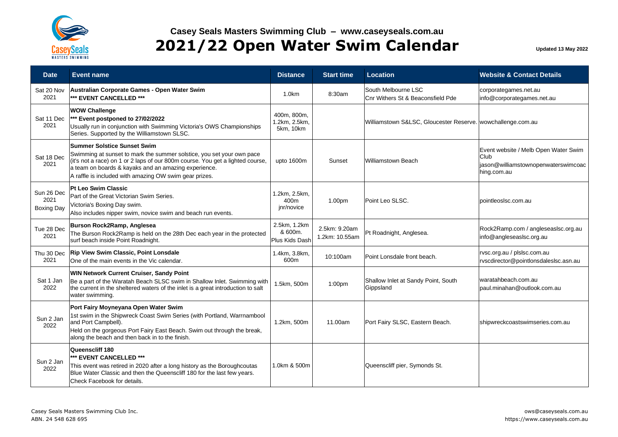

| <b>Date</b>                             | Event name                                                                                                                                                                                                                                                                                                      | <b>Distance</b>                           | <b>Start time</b>               | Location                                                      | <b>Website &amp; Contact Details</b>                                                               |
|-----------------------------------------|-----------------------------------------------------------------------------------------------------------------------------------------------------------------------------------------------------------------------------------------------------------------------------------------------------------------|-------------------------------------------|---------------------------------|---------------------------------------------------------------|----------------------------------------------------------------------------------------------------|
| Sat 20 Nov<br>2021                      | Australian Corporate Games - Open Water Swim<br>*** EVENT CANCELLED ***                                                                                                                                                                                                                                         | 1.0 <sub>km</sub>                         | 8:30am                          | South Melbourne LSC<br>Cnr Withers St & Beaconsfield Pde      | corporategames.net.au<br>info@corporategames.net.au                                                |
| Sat 11 Dec<br>2021                      | <b>WOW Challenge</b><br>*** Event postponed to 27/02/2022<br>Usually run in conjunction with Swimming Victoria's OWS Championships<br>Series. Supported by the Williamstown SLSC.                                                                                                                               | 400m, 800m,<br>1.2km, 2.5km,<br>5km, 10km |                                 | Williamstown S&LSC, Gloucester Reserve.   wowchallenge.com.au |                                                                                                    |
| Sat 18 Dec<br>2021                      | <b>Summer Solstice Sunset Swim</b><br>Swimming at sunset to mark the summer solstice, you set your own pace<br>(it's not a race) on 1 or 2 laps of our 800m course. You get a lighted course,<br>a team on boards & kayaks and an amazing experience.<br>A raffle is included with amazing OW swim gear prizes. | upto 1600m                                | Sunset                          | <b>Williamstown Beach</b>                                     | Event website / Melb Open Water Swim<br>Club<br>jason@williamstownopenwaterswimcoac<br>hing.com.au |
| Sun 26 Dec<br>2021<br><b>Boxing Day</b> | Pt Leo Swim Classic<br>Part of the Great Victorian Swim Series.<br>Victoria's Boxing Day swim.<br>Also includes nipper swim, novice swim and beach run events.                                                                                                                                                  | 1.2km, 2.5km,<br>400m<br>jnr/novice       | 1.00pm                          | Point Leo SLSC.                                               | pointleoslsc.com.au                                                                                |
| Tue 28 Dec<br>2021                      | Burson Rock2Ramp, Anglesea<br>The Burson Rock2Ramp is held on the 28th Dec each year in the protected<br>surf beach inside Point Roadnight.                                                                                                                                                                     | 2.5km, 1.2km<br>& 600m.<br>Plus Kids Dash | 2.5km: 9.20am<br>1.2km: 10.55am | Pt Roadnight, Anglesea.                                       | Rock2Ramp.com / angleseaslsc.org.au<br>info@angleseaslsc.org.au                                    |
| Thu 30 Dec<br>2021                      | <b>Rip View Swim Classic, Point Lonsdale</b><br>One of the main events in the Vic calendar.                                                                                                                                                                                                                     | 1.4km, 3.8km,<br>600m                     | 10:100am                        | Point Lonsdale front beach.                                   | rvsc.org.au / plslsc.com.au<br>rvscdirector@pointlonsdaleslsc.asn.au                               |
| Sat 1 Jan<br>2022                       | WIN Network Current Cruiser, Sandy Point<br>Be a part of the Waratah Beach SLSC swim in Shallow Inlet. Swimming with<br>the current in the sheltered waters of the inlet is a great introduction to salt<br>water swimming.                                                                                     | 1.5km, 500m                               | 1:00 <sub>pm</sub>              | Shallow Inlet at Sandy Point, South<br>Gippsland              | waratahbeach.com.au<br>paul.minahan@outlook.com.au                                                 |
| Sun 2 Jan<br>2022                       | Port Fairy Moyneyana Open Water Swim<br>1st swim in the Shipwreck Coast Swim Series (with Portland, Warrnambool<br>and Port Campbell).<br>Held on the gorgeous Port Fairy East Beach. Swim out through the break,<br>along the beach and then back in to the finish.                                            | 1.2km, 500m                               | 11.00am                         | Port Fairy SLSC, Eastern Beach.                               | shipwreckcoastswimseries.com.au                                                                    |
| Sun 2 Jan<br>2022                       | Queenscliff 180<br>*** EVENT CANCELLED ***<br>This event was retired in 2020 after a long history as the Boroughcoutas<br>Blue Water Classic and then the Queenscliff 180 for the last few years.<br>Check Facebook for details.                                                                                | 1.0km & 500m                              |                                 | Queenscliff pier, Symonds St.                                 |                                                                                                    |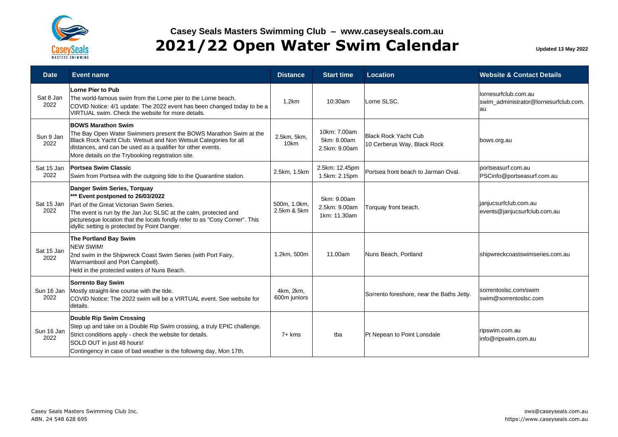

| <b>Date</b>        | <b>Event name</b>                                                                                                                                                                                                                                                                                               | <b>Distance</b>             | <b>Start time</b>                            | <b>Location</b>                                            | <b>Website &amp; Contact Details</b>                                |
|--------------------|-----------------------------------------------------------------------------------------------------------------------------------------------------------------------------------------------------------------------------------------------------------------------------------------------------------------|-----------------------------|----------------------------------------------|------------------------------------------------------------|---------------------------------------------------------------------|
| Sat 8 Jan<br>2022  | <b>Lorne Pier to Pub</b><br>The world-famous swim from the Lorne pier to the Lorne beach.<br>COVID Notice: 4/1 update: The 2022 event has been changed today to be a<br>VIRTUAL swim. Check the website for more details.                                                                                       | 1.2km                       | 10:30am                                      | Lorne SLSC.                                                | lornesurfclub.com.au<br>swim administrator@lornesurfclub.com.<br>au |
| Sun 9 Jan<br>2022  | <b>BOWS Marathon Swim</b><br>The Bay Open Water Swimmers present the BOWS Marathon Swim at the<br>Black Rock Yacht Club. Wetsuit and Non Wetsuit Categories for all<br>distances, and can be used as a qualifier for other events.<br>More details on the Trybooking registration site.                         | 2.5km, 5km,<br>10km         | 10km: 7.00am<br>5km: 8.00am<br>2.5km: 9.00am | <b>Black Rock Yacht Cub</b><br>10 Cerberus Way, Black Rock | bows.org.au                                                         |
| Sat 15 Jan<br>2022 | <b>Portsea Swim Classic</b><br>Swim from Portsea with the outgoing tide to the Quarantine station.                                                                                                                                                                                                              | 2.5km, 1.5km                | 2.5km: 12.45pm<br>1.5km: 2.15pm              | Portsea front beach to Jarman Oval.                        | portseasurf.com.au<br>PSCinfo@portseasurf.com.au                    |
| Sat 15 Jan<br>2022 | Danger Swim Series, Torquay<br>*** Event postponed to 26/03/2022<br>Part of the Great Victorian Swim Series.<br>The event is run by the Jan Juc SLSC at the calm, protected and<br>picturesque location that the locals fondly refer to as "Cosy Corner". This<br>idyllic setting is protected by Point Danger. | 500m, 1.0km,<br>2.5km & 5km | 5km: 9.00am<br>2.5km: 9.00am<br>1km: 11.30am | Torquay front beach.                                       | janjucsurfclub.com.au<br>events@janjucsurfclub.com.au               |
| Sat 15 Jan<br>2022 | The Portland Bay Swim<br><b>NEW SWIM!</b><br>2nd swim in the Shipwreck Coast Swim Series (with Port Fairy,<br>Warrnambool and Port Campbell).<br>Held in the protected waters of Nuns Beach.                                                                                                                    | 1.2km, 500m                 | 11.00am                                      | Nuns Beach, Portland                                       | shipwreckcoastswimseries.com.au                                     |
| Sun 16 Jan<br>2022 | <b>Sorrento Bay Swim</b><br>Mostly straight-line course with the tide.<br>COVID Notice: The 2022 swim will be a VIRTUAL event. See website for<br>details.                                                                                                                                                      | 4km, 2km,<br>600m juniors   |                                              | Sorrento foreshore, near the Baths Jetty.                  | sorrentoslsc.com/swim<br>swim@sorrentoslsc.com                      |
| Sun 16 Jan<br>2022 | <b>Double Rip Swim Crossing</b><br>Step up and take on a Double Rip Swim crossing, a truly EPIC challenge.<br>Strict conditions apply - check the website for details.<br>SOLD OUT in just 48 hours!<br>Contingency in case of bad weather is the following day, Mon 17th.                                      | $7+$ kms                    | tba                                          | Pt Nepean to Point Lonsdale                                | ripswim.com.au<br>info@ripswim.com.au                               |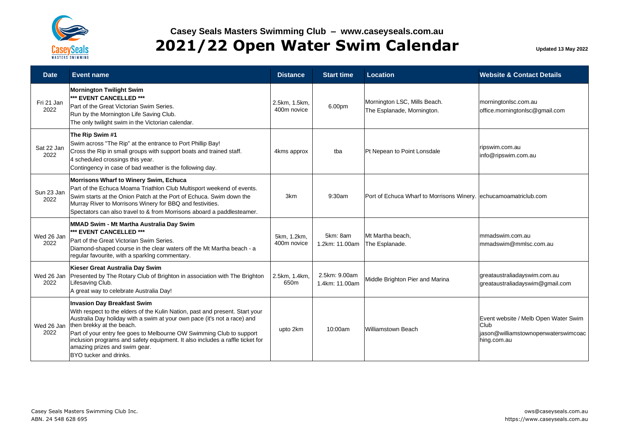

## **Casey Seals Masters Swimming Club – www.caseyseals.com.au 2021/22 Open Water Swim Calendar Updated 13 May 2022**

| <b>Date</b>        | <b>Event name</b>                                                                                                                                                                                                                                                                                                                                                                                                                               | <b>Distance</b>              | <b>Start time</b>               | <b>Location</b>                                                  | <b>Website &amp; Contact Details</b>                                                               |
|--------------------|-------------------------------------------------------------------------------------------------------------------------------------------------------------------------------------------------------------------------------------------------------------------------------------------------------------------------------------------------------------------------------------------------------------------------------------------------|------------------------------|---------------------------------|------------------------------------------------------------------|----------------------------------------------------------------------------------------------------|
| Fri 21 Jan<br>2022 | <b>Mornington Twilight Swim</b><br>*** EVENT CANCELLED ***<br>Part of the Great Victorian Swim Series.<br>Run by the Mornington Life Saving Club.<br>The only twilight swim in the Victorian calendar.                                                                                                                                                                                                                                          | 2.5km, 1.5km.<br>400m novice | 6.00pm                          | Mornington LSC, Mills Beach.<br>The Esplanade, Mornington.       | morningtonlsc.com.au<br>office.morningtonlsc@gmail.com                                             |
| Sat 22 Jan<br>2022 | The Rip Swim #1<br>Swim across "The Rip" at the entrance to Port Phillip Bay!<br>Cross the Rip in small groups with support boats and trained staff.<br>4 scheduled crossings this year.<br>Contingency in case of bad weather is the following day.                                                                                                                                                                                            | 4kms approx                  | tba                             | Pt Nepean to Point Lonsdale                                      | ripswim.com.au<br>info@ripswim.com.au                                                              |
| Sun 23 Jan<br>2022 | Morrisons Wharf to Winery Swim, Echuca<br>Part of the Echuca Moama Triathlon Club Multisport weekend of events.<br>Swim starts at the Onion Patch at the Port of Echuca. Swim down the<br>Murray River to Morrisons Winery for BBQ and festivities.<br>Spectators can also travel to & from Morrisons aboard a paddlesteamer.                                                                                                                   | 3km                          | 9:30am                          | Port of Echuca Wharf to Morrisons Winery. echucamoamatriclub.com |                                                                                                    |
| Wed 26 Jan<br>2022 | MMAD Swim - Mt Martha Australia Day Swim<br>*** EVENT CANCELLED ***<br>Part of the Great Victorian Swim Series.<br>Diamond-shaped course in the clear waters off the Mt Martha beach - a<br>regular favourite, with a sparking commentary.                                                                                                                                                                                                      | 5km, 1.2km,<br>400m novice   | 5km: 8am<br>1.2km: 11.00am      | Mt Martha beach.<br>The Esplanade.                               | mmadswim.com.au<br>mmadswim@mmlsc.com.au                                                           |
| Wed 26 Jan<br>2022 | Kieser Great Australia Day Swim<br>Presented by The Rotary Club of Brighton in association with The Brighton<br>Lifesaving Club.<br>A great way to celebrate Australia Day!                                                                                                                                                                                                                                                                     | 2.5km, 1.4km,<br>650m        | 2.5km: 9.00am<br>1.4km: 11.00am | Middle Brighton Pier and Marina                                  | greataustraliadayswim.com.au<br>greataustraliadayswim@gmail.com                                    |
| Wed 26 Jan<br>2022 | <b>Invasion Day Breakfast Swim</b><br>With respect to the elders of the Kulin Nation, past and present. Start your<br>Australia Day holiday with a swim at your own pace (it's not a race) and<br>then brekky at the beach.<br>Part of your entry fee goes to Melbourne OW Swimming Club to support<br>inclusion programs and safety equipment. It also includes a raffle ticket for<br>amazing prizes and swim gear.<br>BYO tucker and drinks. | upto 2km                     | 10:00am                         | Williamstown Beach                                               | Event website / Melb Open Water Swim<br>Club<br>jason@williamstownopenwaterswimcoac<br>hing.com.au |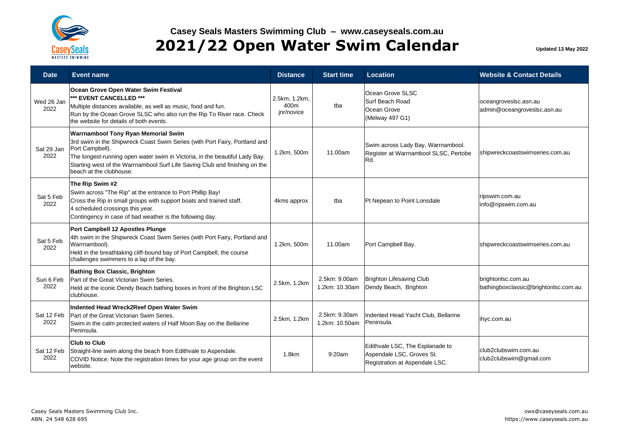

| <b>Date</b>        | Event name                                                                                                                                                                                                                                                                                                                    | <b>Distance</b>                     | <b>Start time</b>               | Location                                                                                       | <b>Website &amp; Contact Details</b>                       |
|--------------------|-------------------------------------------------------------------------------------------------------------------------------------------------------------------------------------------------------------------------------------------------------------------------------------------------------------------------------|-------------------------------------|---------------------------------|------------------------------------------------------------------------------------------------|------------------------------------------------------------|
| Wed 26 Jan<br>2022 | Ocean Grove Open Water Swim Festival<br>*** EVENT CANCELLED ***<br>Multiple distances available, as well as music, food and fun.<br>Run by the Ocean Grove SLSC who also run the Rip To River race. Check<br>the website for details of both events.                                                                          | 2.5km, 1.2km,<br>400m<br>jnr/novice | tba                             | Ocean Grove SLSC<br>Surf Beach Road<br>Ocean Grove<br>(Melway 497 G1)                          | oceangroveslsc.asn.au<br>admin@oceangroveslsc.asn.au       |
| Sat 29 Jan<br>2022 | Warrnambool Tony Ryan Memorial Swim<br>3rd swim in the Shipwreck Coast Swim Series (with Port Fairy, Portland and<br>Port Campbell).<br>The longest-running open water swim in Victoria, in the beautiful Lady Bay.<br>Starting west of the Warrnambool Surf Life Saving Club and finishing on the<br>beach at the clubhouse. | 1.2km, 500m                         | 11.00am                         | Swim across Lady Bay, Warrnambool.<br>Register at Warrnambool SLSC, Pertobe<br>Rd.             | shipwreckcoastswimseries.com.au                            |
| Sat 5 Feb<br>2022  | The Rip Swim #2<br>Swim across "The Rip" at the entrance to Port Phillip Bay!<br>Cross the Rip in small groups with support boats and trained staff.<br>4 scheduled crossings this year.<br>Contingency in case of bad weather is the following day.                                                                          | 4kms approx                         | tba                             | Pt Nepean to Point Lonsdale                                                                    | ripswim.com.au<br>info@ripswim.com.au                      |
| Sat 5 Feb<br>2022  | Port Campbell 12 Apostles Plunge<br>4th swim in the Shipwreck Coast Swim Series (with Port Fairy, Portland and<br>Warrnambool).<br>Held in the breathtaking cliff-bound bay of Port Campbell, the course<br>challenges swimmers to a lap of the bay.                                                                          | 1.2km, 500m                         | 11.00am                         | Port Campbell Bay.                                                                             | shipwreckcoastswimseries.com.au                            |
| Sun 6 Feb<br>2022  | <b>Bathing Box Classic, Brighton</b><br>Part of the Great Victorian Swim Series.<br>Held at the iconic Dendy Beach bathing boxes in front of the Brighton LSC<br>clubhouse.                                                                                                                                                   | 2.5km, 1.2km                        | 2.5km: 9.00am<br>1.2km: 10.30am | <b>Brighton Lifesaving Club</b><br>Dendy Beach, Brighton                                       | brightonlsc.com.au<br>bathingboxclassic@brightonlsc.com.au |
| Sat 12 Feb<br>2022 | Indented Head Wreck2Reef Open Water Swim<br>Part of the Great Victorian Swim Series.<br>Swim in the calm protected waters of Half Moon Bay on the Bellarine<br>Peninsula.                                                                                                                                                     | 2.5km, 1.2km                        | 2.5km: 9.30am<br>1.2km: 10.50am | Indented Head Yacht Club, Bellarine<br>Peninsula.                                              | ihyc.com.au                                                |
| Sat 12 Feb<br>2022 | <b>Club to Club</b><br>Straight-line swim along the beach from Edithvale to Aspendale.<br>COVID Notice: Note the registration times for your age group on the event<br>website.                                                                                                                                               | 1.8km                               | 9:20am                          | Edithvale LSC, The Esplanade to<br>Aspendale LSC, Groves St.<br>Registration at Aspendale LSC. | club2clubswim.com.au<br>club2clubswim@gmail.com            |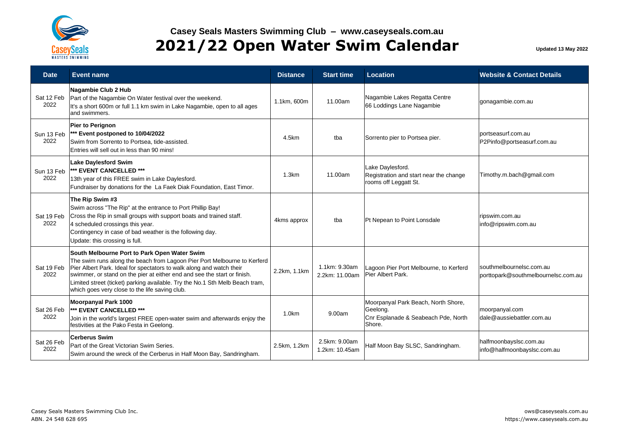

## **Casey Seals Masters Swimming Club – www.caseyseals.com.au 2021/22 Open Water Swim Calendar Updated 13 May 2022**

| <b>Date</b>        | <b>Event name</b>                                                                                                                                                                                                                                                                                                                                                                                              | <b>Distance</b> | <b>Start time</b>               | Location                                                                                         | <b>Website &amp; Contact Details</b>                            |
|--------------------|----------------------------------------------------------------------------------------------------------------------------------------------------------------------------------------------------------------------------------------------------------------------------------------------------------------------------------------------------------------------------------------------------------------|-----------------|---------------------------------|--------------------------------------------------------------------------------------------------|-----------------------------------------------------------------|
| Sat 12 Feb<br>2022 | Nagambie Club 2 Hub<br>Part of the Nagambie On Water festival over the weekend.<br>It's a short 600m or full 1.1 km swim in Lake Nagambie, open to all ages<br>and swimmers.                                                                                                                                                                                                                                   | 1.1km, 600m     | 11.00am                         | Nagambie Lakes Regatta Centre<br>66 Loddings Lane Nagambie                                       | gonagambie.com.au                                               |
| Sun 13 Feb<br>2022 | Pier to Perignon<br>*** Event postponed to 10/04/2022<br>Swim from Sorrento to Portsea, tide-assisted.<br>Entries will sell out in less than 90 mins!                                                                                                                                                                                                                                                          | 4.5km           | tba                             | Sorrento pier to Portsea pier.                                                                   | portseasurf.com.au<br>P2Pinfo@portseasurf.com.au                |
| Sun 13 Feb<br>2022 | <b>Lake Daylesford Swim</b><br>*** EVENT CANCELLED ***<br>13th year of this FREE swim in Lake Daylesford.<br>Fundraiser by donations for the La Faek Diak Foundation, East Timor.                                                                                                                                                                                                                              | 1.3km           | 11.00am                         | Lake Daylesford.<br>Registration and start near the change<br>rooms off Leggatt St.              | Timothy.m.bach@gmail.com                                        |
| Sat 19 Feb<br>2022 | The Rip Swim #3<br>Swim across "The Rip" at the entrance to Port Phillip Bay!<br>Cross the Rip in small groups with support boats and trained staff.<br>4 scheduled crossings this year.<br>Contingency in case of bad weather is the following day.<br>Update: this crossing is full.                                                                                                                         | 4kms approx     | tba                             | Pt Nepean to Point Lonsdale                                                                      | ripswim.com.au<br>info@ripswim.com.au                           |
| Sat 19 Feb<br>2022 | South Melbourne Port to Park Open Water Swim<br>The swim runs along the beach from Lagoon Pier Port Melbourne to Kerferd<br>Pier Albert Park. Ideal for spectators to walk along and watch their<br>swimmer, or stand on the pier at either end and see the start or finish.<br>Limited street (ticket) parking available. Try the No.1 Sth Melb Beach tram,<br>which goes very close to the life saving club. | 2.2km, 1.1km    | 1.1km: 9.30am<br>2.2km: 11.00am | Lagoon Pier Port Melbourne, to Kerferd<br>Pier Albert Park.                                      | southmelbournelsc.com.au<br>porttopark@southmelbournelsc.com.au |
| Sat 26 Feb<br>2022 | Moorpanyal Park 1000<br>*** EVENT CANCELLED ***<br>Join in the world's largest FREE open-water swim and afterwards enjoy the<br>festivities at the Pako Festa in Geelong.                                                                                                                                                                                                                                      | 1.0km           | 9.00am                          | Moorpanyal Park Beach, North Shore,<br>Geelong.<br>Cnr Esplanade & Seabeach Pde, North<br>Shore. | moorpanyal.com<br>dale@aussiebattler.com.au                     |
| Sat 26 Feb<br>2022 | <b>Cerberus Swim</b><br>Part of the Great Victorian Swim Series.<br>Swim around the wreck of the Cerberus in Half Moon Bay, Sandringham.                                                                                                                                                                                                                                                                       | 2.5km, 1.2km    | 2.5km: 9.00am<br>1.2km: 10.45am | Half Moon Bay SLSC, Sandringham.                                                                 | halfmoonbayslsc.com.au<br>info@halfmoonbayslsc.com.au           |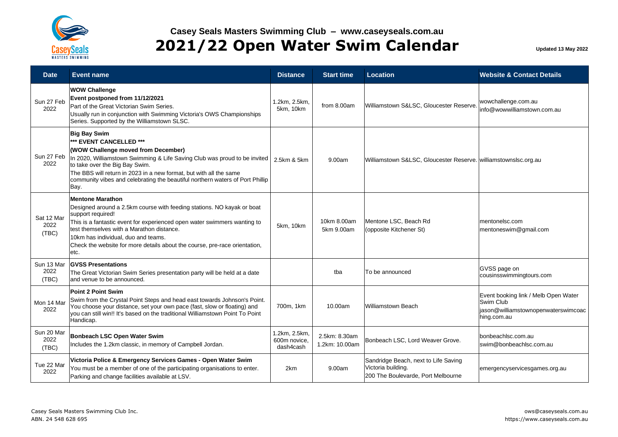

| <b>Date</b>                 | <b>Event name</b>                                                                                                                                                                                                                                                                                                                                                            | <b>Distance</b>                            | <b>Start time</b>               | Location                                                                                         | <b>Website &amp; Contact Details</b>                                                                    |
|-----------------------------|------------------------------------------------------------------------------------------------------------------------------------------------------------------------------------------------------------------------------------------------------------------------------------------------------------------------------------------------------------------------------|--------------------------------------------|---------------------------------|--------------------------------------------------------------------------------------------------|---------------------------------------------------------------------------------------------------------|
| Sun 27 Feb<br>2022          | <b>WOW Challenge</b><br>Event postponed from 11/12/2021<br>Part of the Great Victorian Swim Series.<br>Usually run in conjunction with Swimming Victoria's OWS Championships<br>Series. Supported by the Williamstown SLSC.                                                                                                                                                  | 1.2km, 2.5km,<br>5km, 10km                 | from 8.00am                     | Williamstown S&LSC, Gloucester Reserve.                                                          | wowchallenge.com.au<br>info@wowwilliamstown.com.au                                                      |
| Sun 27 Feb<br>2022          | <b>Big Bay Swim</b><br>*** EVENT CANCELLED ***<br>(WOW Challenge moved from December)<br>In 2020, Williamstown Swimming & Life Saving Club was proud to be invited<br>to take over the Big Bay Swim.<br>The BBS will return in 2023 in a new format, but with all the same<br>community vibes and celebrating the beautiful northern waters of Port Phillip<br>Bay.          | 2.5km & 5km                                | 9.00am                          | Williamstown S&LSC, Gloucester Reserve. williamstownslsc.org.au                                  |                                                                                                         |
| Sat 12 Mar<br>2022<br>(TBC) | <b>Mentone Marathon</b><br>Designed around a 2.5km course with feeding stations. NO kayak or boat<br>support required!<br>This is a fantastic event for experienced open water swimmers wanting to<br>test themselves with a Marathon distance.<br>10km has individual, duo and teams.<br>Check the website for more details about the course, pre-race orientation,<br>etc. | 5km, 10km                                  | 10km 8.00am<br>5km 9.00am       | Mentone LSC, Beach Rd<br>(opposite Kitchener St)                                                 | mentonelsc.com<br>mentoneswim@gmail.com                                                                 |
| Sun 13 Mar<br>2022<br>(TBC) | <b>GVSS Presentations</b><br>The Great Victorian Swim Series presentation party will be held at a date<br>and venue to be announced.                                                                                                                                                                                                                                         |                                            | tba                             | To be announced                                                                                  | GVSS page on<br>cousinsswimmingtours.com                                                                |
| Mon 14 Mar<br>2022          | <b>Point 2 Point Swim</b><br>Swim from the Crystal Point Steps and head east towards Johnson's Point.<br>You choose your distance, set your own pace (fast, slow or floating) and<br>you can still win!! It's based on the traditional Williamstown Point To Point<br>Handicap.                                                                                              | 700m, 1km                                  | 10.00am                         | Williamstown Beach                                                                               | Event booking link / Melb Open Water<br>Swim Club<br>jason@williamstownopenwaterswimcoac<br>hing.com.au |
| Sun 20 Mar<br>2022<br>(TBC) | Bonbeach LSC Open Water Swim<br>Includes the 1.2km classic, in memory of Campbell Jordan.                                                                                                                                                                                                                                                                                    | 1.2km, 2.5km,<br>600m novice.<br>dash4cash | 2.5km: 8.30am<br>1.2km: 10.00am | Bonbeach LSC, Lord Weaver Grove.                                                                 | bonbeachlsc.com.au<br>swim@bonbeachlsc.com.au                                                           |
| Tue 22 Mar<br>2022          | Victoria Police & Emergency Services Games - Open Water Swim<br>You must be a member of one of the participating organisations to enter.<br>Parking and change facilities available at LSV.                                                                                                                                                                                  | 2km                                        | 9.00am                          | Sandridge Beach, next to Life Saving<br>Victoria building.<br>200 The Boulevarde, Port Melbourne | emergencyservicesgames.org.au                                                                           |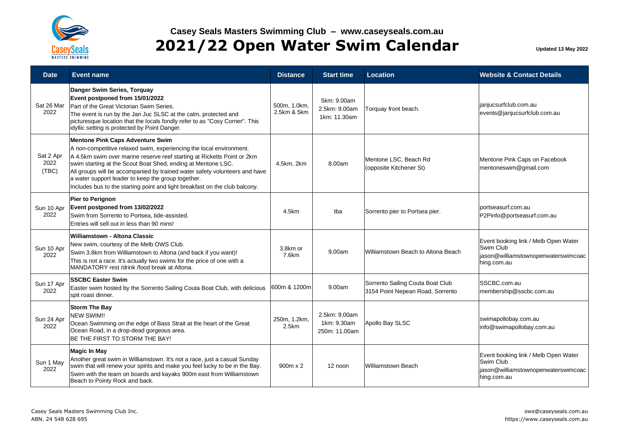

| <b>Date</b>                | <b>Event name</b>                                                                                                                                                                                                                                                                                                                                                                                                                                                            | <b>Distance</b>             | <b>Start time</b>                             | <b>Location</b>                                                      | <b>Website &amp; Contact Details</b>                                                                    |
|----------------------------|------------------------------------------------------------------------------------------------------------------------------------------------------------------------------------------------------------------------------------------------------------------------------------------------------------------------------------------------------------------------------------------------------------------------------------------------------------------------------|-----------------------------|-----------------------------------------------|----------------------------------------------------------------------|---------------------------------------------------------------------------------------------------------|
| Sat 26 Mar<br>2022         | Danger Swim Series, Torquay<br>Event postponed from 15/01/2022<br>Part of the Great Victorian Swim Series.<br>The event is run by the Jan Juc SLSC at the calm, protected and<br>picturesque location that the locals fondly refer to as "Cosy Corner". This<br>idyllic setting is protected by Point Danger.                                                                                                                                                                | 500m, 1.0km,<br>2.5km & 5km | 5km: 9.00am<br>2.5km: 9.00am<br>1km: 11.30am  | Torquay front beach.                                                 | janjucsurfclub.com.au<br>events@janjucsurfclub.com.au                                                   |
| Sat 2 Apr<br>2022<br>(TBC) | <b>Mentone Pink Caps Adventure Swim</b><br>A non-competitive relaxed swim, experiencing the local environment.<br>A 4.5km swim over marine reserve reef starting at Ricketts Point or 2km<br>swim starting at the Scout Boat Shed, ending at Mentone LSC.<br>All groups will be accompanied by trained water safety volunteers and have<br>a water support leader to keep the group together.<br>Includes bus to the starting point and light breakfast on the club balcony. | 4.5km, 2km                  | 8.00am                                        | Mentone LSC, Beach Rd<br>(opposite Kitchener St)                     | Mentone Pink Caps on Facebook<br>mentoneswim@gmail.com                                                  |
| Sun 10 Apr<br>2022         | <b>Pier to Perignon</b><br>Event postponed from 13/02/2022<br>Swim from Sorrento to Portsea, tide-assisted.<br>Entries will sell out in less than 90 mins!                                                                                                                                                                                                                                                                                                                   | 4.5km                       | tba                                           | Sorrento pier to Portsea pier.                                       | portseasurf.com.au<br>P2Pinfo@portseasurf.com.au                                                        |
| Sun 10 Apr<br>2022         | <b>Williamstown - Altona Classic</b><br>New swim, courtesy of the Melb OWS Club.<br>Swim 3.8km from Williamstown to Altona (and back if you want)!<br>This is not a race. It's actually two swims for the price of one with a<br>MANDATORY rest /drink /food break at Altona.                                                                                                                                                                                                | 3.8km or<br>7.6km           | 9.00am                                        | Williamstown Beach to Altona Beach                                   | Event booking link / Melb Open Water<br>Swim Club<br>jason@williamstownopenwaterswimcoac<br>hing.com.au |
| Sun 17 Apr<br>2022         | <b>SSCBC Easter Swim</b><br>Easter swim hosted by the Sorrento Sailing Couta Boat Club, with delicious<br>spit roast dinner.                                                                                                                                                                                                                                                                                                                                                 | 600m & 1200ml               | 9.00am                                        | Sorrento Sailing Couta Boat Club<br>3154 Point Nepean Road, Sorrento | SSCBC.com.au<br>membership@sscbc.com.au                                                                 |
| Sun 24 Apr<br>2022         | <b>Storm The Bay</b><br><b>NEW SWIM!!</b><br>Ocean Swimming on the edge of Bass Strait at the heart of the Great<br>Ocean Road, in a drop-dead gorgeous area.<br>BE THE FIRST TO STORM THE BAY!                                                                                                                                                                                                                                                                              | 250m, 1.2km,<br>2.5km       | 2.5km: 9.00am<br>1km: 9.30am<br>250m: 11.00am | Apollo Bay SLSC                                                      | swimapollobay.com.au<br>info@swimapollobay.com.au                                                       |
| Sun 1 May<br>2022          | <b>Magic In May</b><br>Another great swim in Williamstown. It's not a race, just a casual Sunday<br>swim that will renew your spirits and make you feel lucky to be in the Bay.<br>Swim with the team on boards and kayaks 900m east from Williamstown<br>Beach to Pointy Rock and back.                                                                                                                                                                                     | 900m x 2                    | 12 noon                                       | <b>Williamstown Beach</b>                                            | Event booking link / Melb Open Water<br>Swim Club<br>jason@williamstownopenwaterswimcoac<br>hing.com.au |